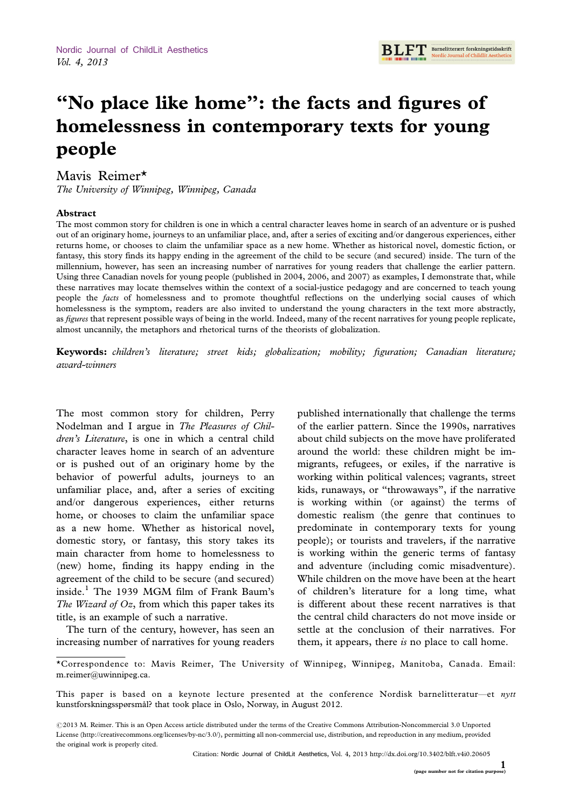**RI FT** Barnelitterært forskningstidsskrift

# ''No place like home'': the facts and figures of homelessness in contemporary texts for young people

## Mavis Reimer\*

The University of Winnipeg, Winnipeg, Canada

### Abstract

The most common story for children is one in which a central character leaves home in search of an adventure or is pushed out of an originary home, journeys to an unfamiliar place, and, after a series of exciting and/or dangerous experiences, either returns home, or chooses to claim the unfamiliar space as a new home. Whether as historical novel, domestic fiction, or fantasy, this story finds its happy ending in the agreement of the child to be secure (and secured) inside. The turn of the millennium, however, has seen an increasing number of narratives for young readers that challenge the earlier pattern. Using three Canadian novels for young people (published in 2004, 2006, and 2007) as examples, I demonstrate that, while these narratives may locate themselves within the context of a social-justice pedagogy and are concerned to teach young people the facts of homelessness and to promote thoughtful reflections on the underlying social causes of which homelessness is the symptom, readers are also invited to understand the young characters in the text more abstractly, as figures that represent possible ways of being in the world. Indeed, many of the recent narratives for young people replicate, almost uncannily, the metaphors and rhetorical turns of the theorists of globalization.

Keywords: children's literature; street kids; globalization; mobility; figuration; Canadian literature; award-winners

The most common story for children, Perry Nodelman and I argue in The Pleasures of Children's Literature, is one in which a central child character leaves home in search of an adventure or is pushed out of an originary home by the behavior of powerful adults, journeys to an unfamiliar place, and, after a series of exciting and/or dangerous experiences, either returns home, or chooses to claim the unfamiliar space as a new home. Whether as historical novel, domestic story, or fantasy, this story takes its main character from home to homelessness to (new) home, finding its happy ending in the agreement of the child to be secure (and secured) inside.<sup>1</sup> The 1939 MGM film of Frank Baum's The Wizard of  $Oz$ , from which this paper takes its title, is an example of such a narrative.

The turn of the century, however, has seen an increasing number of narratives for young readers

published internationally that challenge the terms of the earlier pattern. Since the 1990s, narratives about child subjects on the move have proliferated around the world: these children might be immigrants, refugees, or exiles, if the narrative is working within political valences; vagrants, street kids, runaways, or ''throwaways'', if the narrative is working within (or against) the terms of domestic realism (the genre that continues to predominate in contemporary texts for young people); or tourists and travelers, if the narrative is working within the generic terms of fantasy and adventure (including comic misadventure). While children on the move have been at the heart of children's literature for a long time, what is different about these recent narratives is that the central child characters do not move inside or settle at the conclusion of their narratives. For them, it appears, there is no place to call home.

<sup>\*</sup>Correspondence to: Mavis Reimer, The University of Winnipeg, Winnipeg, Manitoba, Canada. Email: m.reimer@uwinnipeg.ca.

This paper is based on a keynote lecture presented at the conference Nordisk barnelitteratur-et nytt kunstforskningsspørsmål? that took place in Oslo, Norway, in August 2012.

 $@$ 2013 M. Reimer. This is an Open Access article distributed under the terms of the Creative Commons Attribution-Noncommercial 3.0 Unported License (http://creativecommons.org/licenses/by-nc/3.0/), permitting all non-commercial use, distribution, and reproduction in any medium, provided the original work is properly cited.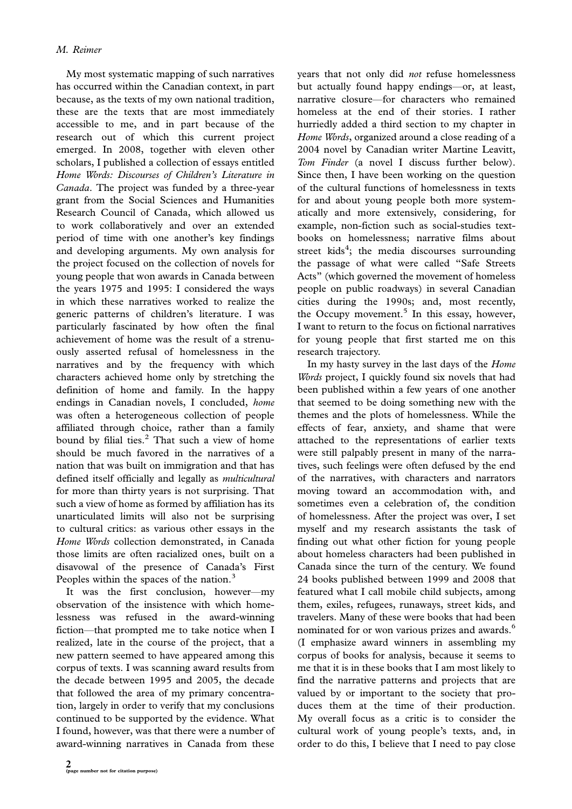My most systematic mapping of such narratives has occurred within the Canadian context, in part because, as the texts of my own national tradition, these are the texts that are most immediately accessible to me, and in part because of the research out of which this current project emerged. In 2008, together with eleven other scholars, I published a collection of essays entitled Home Words: Discourses of Children's Literature in Canada. The project was funded by a three-year grant from the Social Sciences and Humanities Research Council of Canada, which allowed us to work collaboratively and over an extended period of time with one another's key findings and developing arguments. My own analysis for the project focused on the collection of novels for young people that won awards in Canada between the years 1975 and 1995: I considered the ways in which these narratives worked to realize the generic patterns of children's literature. I was particularly fascinated by how often the final achievement of home was the result of a strenuously asserted refusal of homelessness in the narratives and by the frequency with which characters achieved home only by stretching the definition of home and family. In the happy endings in Canadian novels, I concluded, home was often a heterogeneous collection of people affiliated through choice, rather than a family bound by filial ties. $<sup>2</sup>$  That such a view of home</sup> should be much favored in the narratives of a nation that was built on immigration and that has defined itself officially and legally as multicultural for more than thirty years is not surprising. That such a view of home as formed by affiliation has its unarticulated limits will also not be surprising to cultural critics: as various other essays in the Home Words collection demonstrated, in Canada those limits are often racialized ones, built on a disavowal of the presence of Canada's First Peoples within the spaces of the nation.<sup>3</sup>

It was the first conclusion, however-my observation of the insistence with which homelessness was refused in the award-winning fiction-that prompted me to take notice when I realized, late in the course of the project, that a new pattern seemed to have appeared among this corpus of texts. I was scanning award results from the decade between 1995 and 2005, the decade that followed the area of my primary concentration, largely in order to verify that my conclusions continued to be supported by the evidence. What I found, however, was that there were a number of award-winning narratives in Canada from these

years that not only did not refuse homelessness but actually found happy endings-or, at least, narrative closure-for characters who remained homeless at the end of their stories. I rather hurriedly added a third section to my chapter in Home Words, organized around a close reading of a 2004 novel by Canadian writer Martine Leavitt, Tom Finder (a novel I discuss further below). Since then, I have been working on the question of the cultural functions of homelessness in texts for and about young people both more systematically and more extensively, considering, for example, non-fiction such as social-studies textbooks on homelessness; narrative films about street kids<sup>4</sup>; the media discourses surrounding the passage of what were called ''Safe Streets Acts'' (which governed the movement of homeless people on public roadways) in several Canadian cities during the 1990s; and, most recently, the Occupy movement.<sup>5</sup> In this essay, however, I want to return to the focus on fictional narratives for young people that first started me on this research trajectory.

In my hasty survey in the last days of the Home Words project, I quickly found six novels that had been published within a few years of one another that seemed to be doing something new with the themes and the plots of homelessness. While the effects of fear, anxiety, and shame that were attached to the representations of earlier texts were still palpably present in many of the narratives, such feelings were often defused by the end of the narratives, with characters and narrators moving toward an accommodation with, and sometimes even a celebration of, the condition of homelessness. After the project was over, I set myself and my research assistants the task of finding out what other fiction for young people about homeless characters had been published in Canada since the turn of the century. We found 24 books published between 1999 and 2008 that featured what I call mobile child subjects, among them, exiles, refugees, runaways, street kids, and travelers. Many of these were books that had been nominated for or won various prizes and awards.<sup>6</sup> (I emphasize award winners in assembling my corpus of books for analysis, because it seems to me that it is in these books that I am most likely to find the narrative patterns and projects that are valued by or important to the society that produces them at the time of their production. My overall focus as a critic is to consider the cultural work of young people's texts, and, in order to do this, I believe that I need to pay close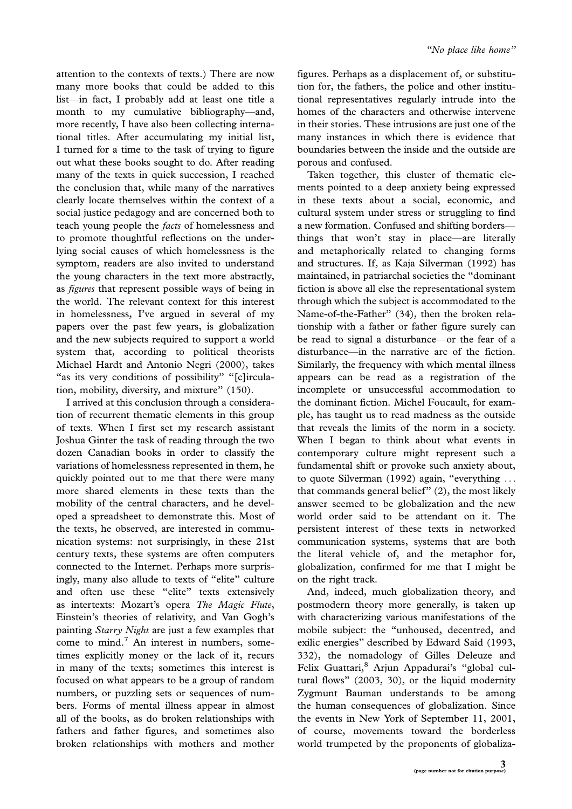attention to the contexts of texts.) There are now many more books that could be added to this list-in fact, I probably add at least one title a month to my cumulative bibliography-and, more recently, I have also been collecting international titles. After accumulating my initial list, I turned for a time to the task of trying to figure out what these books sought to do. After reading many of the texts in quick succession, I reached the conclusion that, while many of the narratives clearly locate themselves within the context of a social justice pedagogy and are concerned both to teach young people the facts of homelessness and to promote thoughtful reflections on the underlying social causes of which homelessness is the symptom, readers are also invited to understand the young characters in the text more abstractly, as figures that represent possible ways of being in the world. The relevant context for this interest in homelessness, I've argued in several of my papers over the past few years, is globalization and the new subjects required to support a world system that, according to political theorists Michael Hardt and Antonio Negri (2000), takes "as its very conditions of possibility" "[c]irculation, mobility, diversity, and mixture'' (150).

I arrived at this conclusion through a consideration of recurrent thematic elements in this group of texts. When I first set my research assistant Joshua Ginter the task of reading through the two dozen Canadian books in order to classify the variations of homelessness represented in them, he quickly pointed out to me that there were many more shared elements in these texts than the mobility of the central characters, and he developed a spreadsheet to demonstrate this. Most of the texts, he observed, are interested in communication systems: not surprisingly, in these 21st century texts, these systems are often computers connected to the Internet. Perhaps more surprisingly, many also allude to texts of ''elite'' culture and often use these "elite" texts extensively as intertexts: Mozart's opera The Magic Flute, Einstein's theories of relativity, and Van Gogh's painting Starry Night are just a few examples that come to mind.<sup>7</sup> An interest in numbers, sometimes explicitly money or the lack of it, recurs in many of the texts; sometimes this interest is focused on what appears to be a group of random numbers, or puzzling sets or sequences of numbers. Forms of mental illness appear in almost all of the books, as do broken relationships with fathers and father figures, and sometimes also broken relationships with mothers and mother

figures. Perhaps as a displacement of, or substitution for, the fathers, the police and other institutional representatives regularly intrude into the homes of the characters and otherwise intervene in their stories. These intrusions are just one of the many instances in which there is evidence that boundaries between the inside and the outside are porous and confused.

Taken together, this cluster of thematic elements pointed to a deep anxiety being expressed in these texts about a social, economic, and cultural system under stress or struggling to find a new formation. Confused and shifting bordersthings that won't stay in place-are literally and metaphorically related to changing forms and structures. If, as Kaja Silverman (1992) has maintained, in patriarchal societies the ''dominant fiction is above all else the representational system through which the subject is accommodated to the Name-of-the-Father'' (34), then the broken relationship with a father or father figure surely can be read to signal a disturbance—or the fear of a disturbance—in the narrative arc of the fiction. Similarly, the frequency with which mental illness appears can be read as a registration of the incomplete or unsuccessful accommodation to the dominant fiction. Michel Foucault, for example, has taught us to read madness as the outside that reveals the limits of the norm in a society. When I began to think about what events in contemporary culture might represent such a fundamental shift or provoke such anxiety about, to quote Silverman (1992) again, "everything ... that commands general belief'' (2), the most likely answer seemed to be globalization and the new world order said to be attendant on it. The persistent interest of these texts in networked communication systems, systems that are both the literal vehicle of, and the metaphor for, globalization, confirmed for me that I might be on the right track.

And, indeed, much globalization theory, and postmodern theory more generally, is taken up with characterizing various manifestations of the mobile subject: the ''unhoused, decentred, and exilic energies'' described by Edward Said (1993, 332), the nomadology of Gilles Deleuze and Felix Guattari,<sup>8</sup> Arjun Appadurai's "global cultural flows'' (2003, 30), or the liquid modernity Zygmunt Bauman understands to be among the human consequences of globalization. Since the events in New York of September 11, 2001, of course, movements toward the borderless world trumpeted by the proponents of globaliza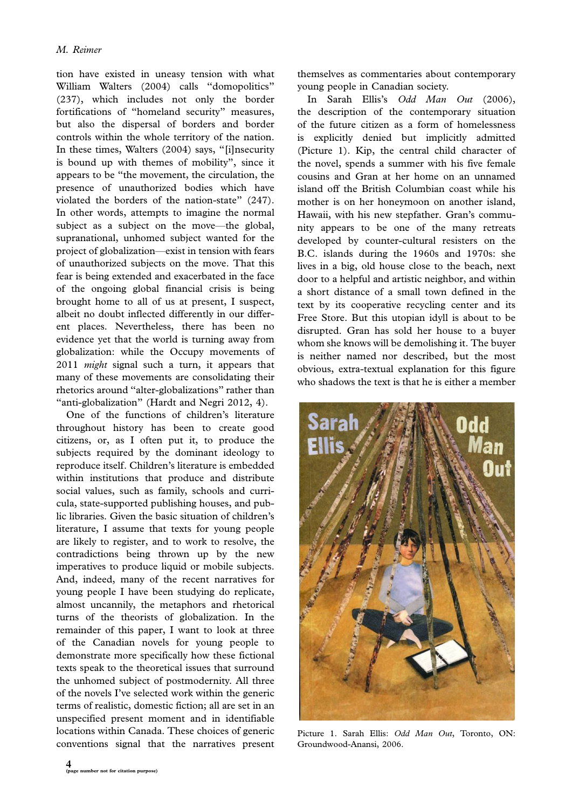tion have existed in uneasy tension with what William Walters (2004) calls ''domopolitics'' (237), which includes not only the border fortifications of ''homeland security'' measures, but also the dispersal of borders and border controls within the whole territory of the nation. In these times, Walters (2004) says, ''[i]nsecurity is bound up with themes of mobility'', since it appears to be ''the movement, the circulation, the presence of unauthorized bodies which have violated the borders of the nation-state'' (247). In other words, attempts to imagine the normal subject as a subject on the move-the global, supranational, unhomed subject wanted for the project of globalization—exist in tension with fears of unauthorized subjects on the move. That this fear is being extended and exacerbated in the face of the ongoing global financial crisis is being brought home to all of us at present, I suspect, albeit no doubt inflected differently in our different places. Nevertheless, there has been no evidence yet that the world is turning away from globalization: while the Occupy movements of 2011 *might* signal such a turn, it appears that many of these movements are consolidating their rhetorics around ''alter-globalizations'' rather than ''anti-globalization'' (Hardt and Negri 2012, 4).

One of the functions of children's literature throughout history has been to create good citizens, or, as I often put it, to produce the subjects required by the dominant ideology to reproduce itself. Children's literature is embedded within institutions that produce and distribute social values, such as family, schools and curricula, state-supported publishing houses, and public libraries. Given the basic situation of children's literature, I assume that texts for young people are likely to register, and to work to resolve, the contradictions being thrown up by the new imperatives to produce liquid or mobile subjects. And, indeed, many of the recent narratives for young people I have been studying do replicate, almost uncannily, the metaphors and rhetorical turns of the theorists of globalization. In the remainder of this paper, I want to look at three of the Canadian novels for young people to demonstrate more specifically how these fictional texts speak to the theoretical issues that surround the unhomed subject of postmodernity. All three of the novels I've selected work within the generic terms of realistic, domestic fiction; all are set in an unspecified present moment and in identifiable locations within Canada. These choices of generic conventions signal that the narratives present themselves as commentaries about contemporary young people in Canadian society.

In Sarah Ellis's Odd Man Out (2006), the description of the contemporary situation of the future citizen as a form of homelessness is explicitly denied but implicitly admitted (Picture 1). Kip, the central child character of the novel, spends a summer with his five female cousins and Gran at her home on an unnamed island off the British Columbian coast while his mother is on her honeymoon on another island, Hawaii, with his new stepfather. Gran's community appears to be one of the many retreats developed by counter-cultural resisters on the B.C. islands during the 1960s and 1970s: she lives in a big, old house close to the beach, next door to a helpful and artistic neighbor, and within a short distance of a small town defined in the text by its cooperative recycling center and its Free Store. But this utopian idyll is about to be disrupted. Gran has sold her house to a buyer whom she knows will be demolishing it. The buyer is neither named nor described, but the most obvious, extra-textual explanation for this figure who shadows the text is that he is either a member



Picture 1. Sarah Ellis: Odd Man Out, Toronto, ON: Groundwood-Anansi, 2006.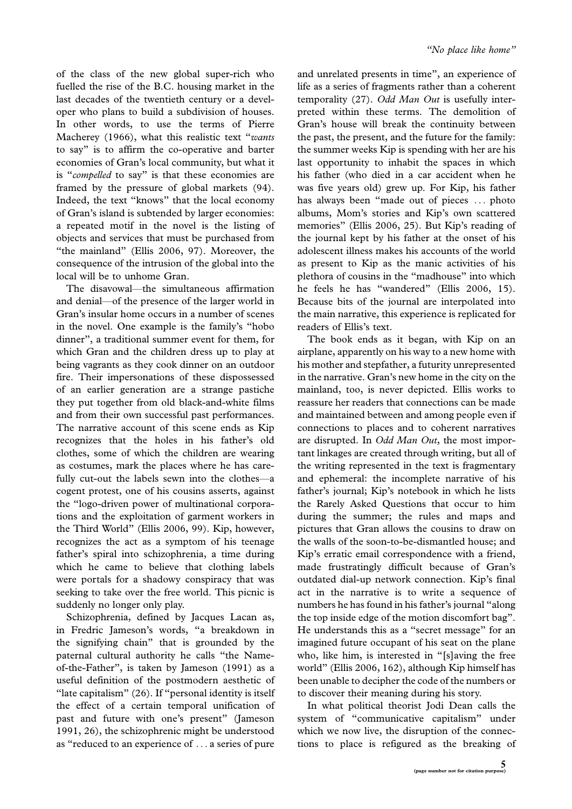of the class of the new global super-rich who fuelled the rise of the B.C. housing market in the last decades of the twentieth century or a developer who plans to build a subdivision of houses. In other words, to use the terms of Pierre Macherey (1966), what this realistic text "wants" to say'' is to affirm the co-operative and barter economies of Gran's local community, but what it is "compelled to say" is that these economies are framed by the pressure of global markets (94). Indeed, the text ''knows'' that the local economy of Gran's island is subtended by larger economies: a repeated motif in the novel is the listing of objects and services that must be purchased from "the mainland" (Ellis 2006, 97). Moreover, the consequence of the intrusion of the global into the local will be to unhome Gran.

The disavowal—the simultaneous affirmation and denial—of the presence of the larger world in Gran's insular home occurs in a number of scenes in the novel. One example is the family's ''hobo dinner'', a traditional summer event for them, for which Gran and the children dress up to play at being vagrants as they cook dinner on an outdoor fire. Their impersonations of these dispossessed of an earlier generation are a strange pastiche they put together from old black-and-white films and from their own successful past performances. The narrative account of this scene ends as Kip recognizes that the holes in his father's old clothes, some of which the children are wearing as costumes, mark the places where he has carefully cut-out the labels sewn into the clothes-a cogent protest, one of his cousins asserts, against the ''logo-driven power of multinational corporations and the exploitation of garment workers in the Third World'' (Ellis 2006, 99). Kip, however, recognizes the act as a symptom of his teenage father's spiral into schizophrenia, a time during which he came to believe that clothing labels were portals for a shadowy conspiracy that was seeking to take over the free world. This picnic is suddenly no longer only play.

Schizophrenia, defined by Jacques Lacan as, in Fredric Jameson's words, ''a breakdown in the signifying chain'' that is grounded by the paternal cultural authority he calls "the Nameof-the-Father'', is taken by Jameson (1991) as a useful definition of the postmodern aesthetic of "late capitalism" (26). If "personal identity is itself the effect of a certain temporal unification of past and future with one's present'' (Jameson 1991, 26), the schizophrenic might be understood as ''reduced to an experience of ... a series of pure

and unrelated presents in time'', an experience of life as a series of fragments rather than a coherent temporality (27). Odd Man Out is usefully interpreted within these terms. The demolition of Gran's house will break the continuity between the past, the present, and the future for the family: the summer weeks Kip is spending with her are his last opportunity to inhabit the spaces in which his father (who died in a car accident when he was five years old) grew up. For Kip, his father has always been "made out of pieces ... photo albums, Mom's stories and Kip's own scattered memories'' (Ellis 2006, 25). But Kip's reading of the journal kept by his father at the onset of his adolescent illness makes his accounts of the world as present to Kip as the manic activities of his plethora of cousins in the ''madhouse'' into which he feels he has ''wandered'' (Ellis 2006, 15). Because bits of the journal are interpolated into the main narrative, this experience is replicated for readers of Ellis's text.

The book ends as it began, with Kip on an airplane, apparently on his way to a new home with his mother and stepfather, a futurity unrepresented in the narrative. Gran's new home in the city on the mainland, too, is never depicted. Ellis works to reassure her readers that connections can be made and maintained between and among people even if connections to places and to coherent narratives are disrupted. In *Odd Man Out*, the most important linkages are created through writing, but all of the writing represented in the text is fragmentary and ephemeral: the incomplete narrative of his father's journal; Kip's notebook in which he lists the Rarely Asked Questions that occur to him during the summer; the rules and maps and pictures that Gran allows the cousins to draw on the walls of the soon-to-be-dismantled house; and Kip's erratic email correspondence with a friend, made frustratingly difficult because of Gran's outdated dial-up network connection. Kip's final act in the narrative is to write a sequence of numbers he has found in his father's journal ''along the top inside edge of the motion discomfort bag''. He understands this as a ''secret message'' for an imagined future occupant of his seat on the plane who, like him, is interested in "[s]aving the free world'' (Ellis 2006, 162), although Kip himself has been unable to decipher the code of the numbers or to discover their meaning during his story.

In what political theorist Jodi Dean calls the system of ''communicative capitalism'' under which we now live, the disruption of the connections to place is refigured as the breaking of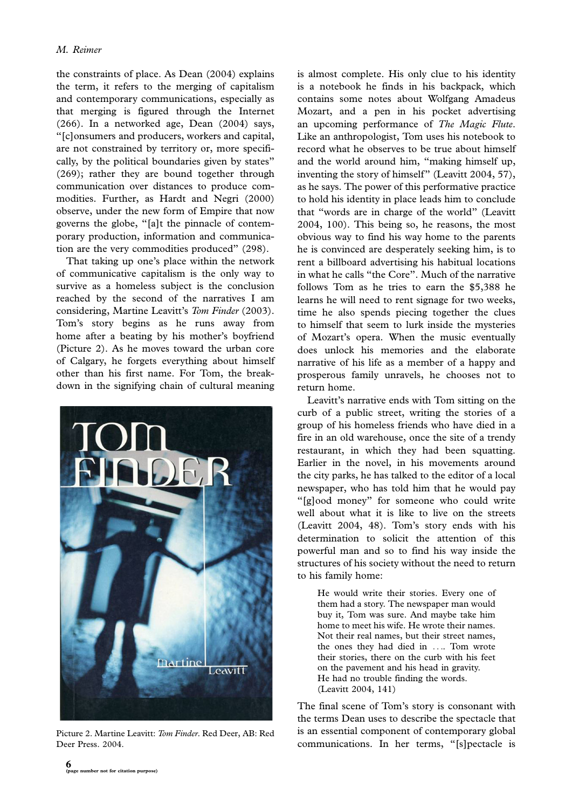the constraints of place. As Dean (2004) explains the term, it refers to the merging of capitalism and contemporary communications, especially as that merging is figured through the Internet (266). In a networked age, Dean (2004) says, ''[c]onsumers and producers, workers and capital, are not constrained by territory or, more specifically, by the political boundaries given by states'' (269); rather they are bound together through communication over distances to produce commodities. Further, as Hardt and Negri (2000) observe, under the new form of Empire that now governs the globe, ''[a]t the pinnacle of contemporary production, information and communication are the very commodities produced'' (298).

That taking up one's place within the network of communicative capitalism is the only way to survive as a homeless subject is the conclusion reached by the second of the narratives I am considering, Martine Leavitt's Tom Finder (2003). Tom's story begins as he runs away from home after a beating by his mother's boyfriend (Picture 2). As he moves toward the urban core of Calgary, he forgets everything about himself other than his first name. For Tom, the breakdown in the signifying chain of cultural meaning



Picture 2. Martine Leavitt: Tom Finder. Red Deer, AB: Red Deer Press. 2004.

is almost complete. His only clue to his identity is a notebook he finds in his backpack, which contains some notes about Wolfgang Amadeus Mozart, and a pen in his pocket advertising an upcoming performance of The Magic Flute. Like an anthropologist, Tom uses his notebook to record what he observes to be true about himself and the world around him, ''making himself up, inventing the story of himself'' (Leavitt 2004, 57), as he says. The power of this performative practice to hold his identity in place leads him to conclude that ''words are in charge of the world'' (Leavitt 2004, 100). This being so, he reasons, the most obvious way to find his way home to the parents he is convinced are desperately seeking him, is to rent a billboard advertising his habitual locations in what he calls ''the Core''. Much of the narrative follows Tom as he tries to earn the \$5,388 he learns he will need to rent signage for two weeks, time he also spends piecing together the clues to himself that seem to lurk inside the mysteries of Mozart's opera. When the music eventually does unlock his memories and the elaborate narrative of his life as a member of a happy and prosperous family unravels, he chooses not to return home.

Leavitt's narrative ends with Tom sitting on the curb of a public street, writing the stories of a group of his homeless friends who have died in a fire in an old warehouse, once the site of a trendy restaurant, in which they had been squatting. Earlier in the novel, in his movements around the city parks, he has talked to the editor of a local newspaper, who has told him that he would pay "[g]ood money" for someone who could write well about what it is like to live on the streets (Leavitt 2004, 48). Tom's story ends with his determination to solicit the attention of this powerful man and so to find his way inside the structures of his society without the need to return to his family home:

He would write their stories. Every one of them had a story. The newspaper man would buy it, Tom was sure. And maybe take him home to meet his wife. He wrote their names. Not their real names, but their street names, the ones they had died in .... Tom wrote their stories, there on the curb with his feet on the pavement and his head in gravity. He had no trouble finding the words. (Leavitt 2004, 141)

The final scene of Tom's story is consonant with the terms Dean uses to describe the spectacle that is an essential component of contemporary global communications. In her terms, ''[s]pectacle is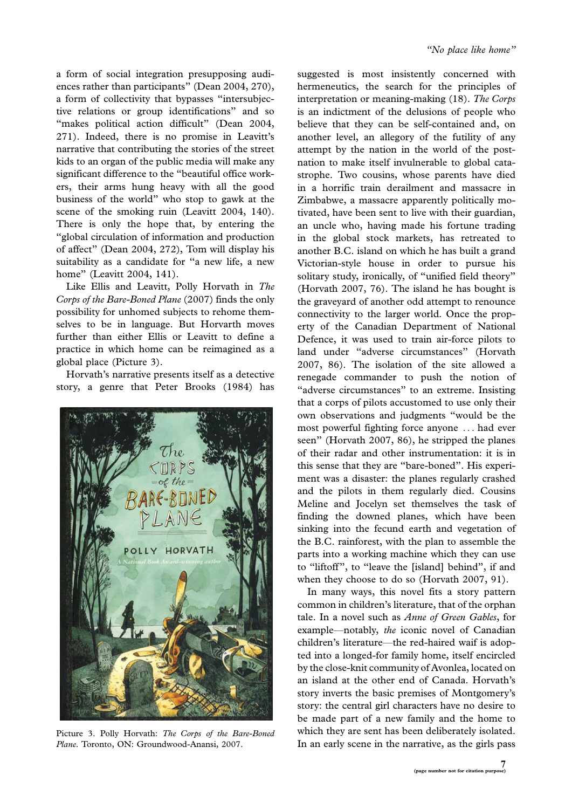a form of social integration presupposing audiences rather than participants'' (Dean 2004, 270), a form of collectivity that bypasses ''intersubjective relations or group identifications'' and so "makes political action difficult" (Dean 2004, 271). Indeed, there is no promise in Leavitt's narrative that contributing the stories of the street kids to an organ of the public media will make any significant difference to the ''beautiful office workers, their arms hung heavy with all the good business of the world'' who stop to gawk at the scene of the smoking ruin (Leavitt 2004, 140). There is only the hope that, by entering the ''global circulation of information and production of affect'' (Dean 2004, 272), Tom will display his suitability as a candidate for ''a new life, a new home'' (Leavitt 2004, 141).

Like Ellis and Leavitt, Polly Horvath in The Corps of the Bare-Boned Plane (2007) finds the only possibility for unhomed subjects to rehome themselves to be in language. But Horvarth moves further than either Ellis or Leavitt to define a practice in which home can be reimagined as a global place (Picture 3).

Horvath's narrative presents itself as a detective story, a genre that Peter Brooks (1984) has



Picture 3. Polly Horvath: The Corps of the Bare-Boned Plane. Toronto, ON: Groundwood-Anansi, 2007.

suggested is most insistently concerned with hermeneutics, the search for the principles of interpretation or meaning-making (18). The Corps is an indictment of the delusions of people who believe that they can be self-contained and, on another level, an allegory of the futility of any attempt by the nation in the world of the postnation to make itself invulnerable to global catastrophe. Two cousins, whose parents have died in a horrific train derailment and massacre in Zimbabwe, a massacre apparently politically motivated, have been sent to live with their guardian, an uncle who, having made his fortune trading in the global stock markets, has retreated to another B.C. island on which he has built a grand Victorian-style house in order to pursue his solitary study, ironically, of ''unified field theory'' (Horvath 2007, 76). The island he has bought is the graveyard of another odd attempt to renounce connectivity to the larger world. Once the property of the Canadian Department of National Defence, it was used to train air-force pilots to land under ''adverse circumstances'' (Horvath 2007, 86). The isolation of the site allowed a renegade commander to push the notion of "adverse circumstances" to an extreme. Insisting that a corps of pilots accustomed to use only their own observations and judgments ''would be the most powerful fighting force anyone ... had ever seen'' (Horvath 2007, 86), he stripped the planes of their radar and other instrumentation: it is in this sense that they are ''bare-boned''. His experiment was a disaster: the planes regularly crashed and the pilots in them regularly died. Cousins Meline and Jocelyn set themselves the task of finding the downed planes, which have been sinking into the fecund earth and vegetation of the B.C. rainforest, with the plan to assemble the parts into a working machine which they can use to ''liftoff'', to ''leave the [island] behind'', if and when they choose to do so (Horvath 2007, 91).

In many ways, this novel fits a story pattern common in children's literature, that of the orphan tale. In a novel such as Anne of Green Gables, for example—notably, the iconic novel of Canadian children's literature-the red-haired waif is adopted into a longed-for family home, itself encircled by the close-knit community of Avonlea, located on an island at the other end of Canada. Horvath's story inverts the basic premises of Montgomery's story: the central girl characters have no desire to be made part of a new family and the home to which they are sent has been deliberately isolated. In an early scene in the narrative, as the girls pass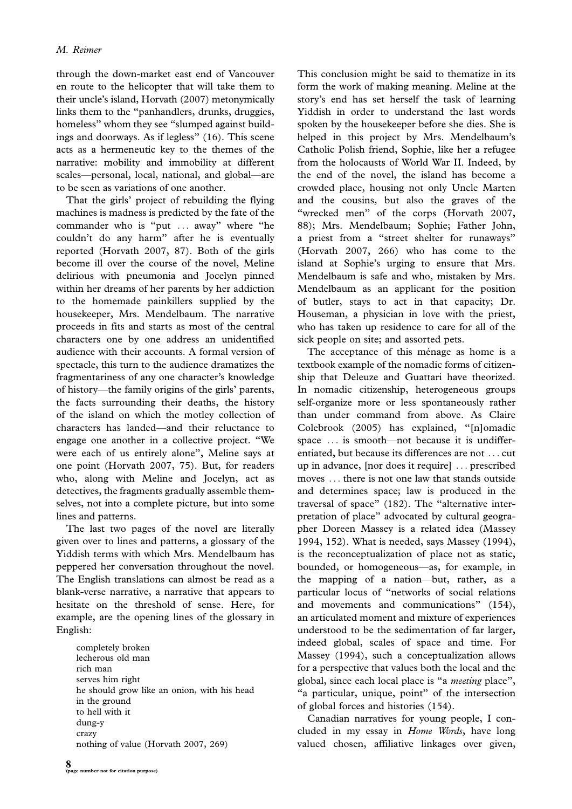through the down-market east end of Vancouver en route to the helicopter that will take them to their uncle's island, Horvath (2007) metonymically links them to the ''panhandlers, drunks, druggies, homeless'' whom they see ''slumped against buildings and doorways. As if legless'' (16). This scene acts as a hermeneutic key to the themes of the narrative: mobility and immobility at different scales—personal, local, national, and global—are to be seen as variations of one another.

That the girls' project of rebuilding the flying machines is madness is predicted by the fate of the commander who is "put ... away" where "he couldn't do any harm'' after he is eventually reported (Horvath 2007, 87). Both of the girls become ill over the course of the novel, Meline delirious with pneumonia and Jocelyn pinned within her dreams of her parents by her addiction to the homemade painkillers supplied by the housekeeper, Mrs. Mendelbaum. The narrative proceeds in fits and starts as most of the central characters one by one address an unidentified audience with their accounts. A formal version of spectacle, this turn to the audience dramatizes the fragmentariness of any one character's knowledge of history—the family origins of the girls' parents, the facts surrounding their deaths, the history of the island on which the motley collection of characters has landed\*and their reluctance to engage one another in a collective project. ''We were each of us entirely alone'', Meline says at one point (Horvath 2007, 75). But, for readers who, along with Meline and Jocelyn, act as detectives, the fragments gradually assemble themselves, not into a complete picture, but into some lines and patterns.

The last two pages of the novel are literally given over to lines and patterns, a glossary of the Yiddish terms with which Mrs. Mendelbaum has peppered her conversation throughout the novel. The English translations can almost be read as a blank-verse narrative, a narrative that appears to hesitate on the threshold of sense. Here, for example, are the opening lines of the glossary in English:

completely broken lecherous old man rich man serves him right he should grow like an onion, with his head in the ground to hell with it dung-y crazy nothing of value (Horvath 2007, 269)

This conclusion might be said to thematize in its form the work of making meaning. Meline at the story's end has set herself the task of learning Yiddish in order to understand the last words spoken by the housekeeper before she dies. She is helped in this project by Mrs. Mendelbaum's Catholic Polish friend, Sophie, like her a refugee from the holocausts of World War II. Indeed, by the end of the novel, the island has become a crowded place, housing not only Uncle Marten and the cousins, but also the graves of the "wrecked men" of the corps (Horvath 2007, 88); Mrs. Mendelbaum; Sophie; Father John, a priest from a ''street shelter for runaways'' (Horvath 2007, 266) who has come to the island at Sophie's urging to ensure that Mrs. Mendelbaum is safe and who, mistaken by Mrs. Mendelbaum as an applicant for the position of butler, stays to act in that capacity; Dr. Houseman, a physician in love with the priest, who has taken up residence to care for all of the sick people on site; and assorted pets.

The acceptance of this ménage as home is a textbook example of the nomadic forms of citizenship that Deleuze and Guattari have theorized. In nomadic citizenship, heterogeneous groups self-organize more or less spontaneously rather than under command from above. As Claire Colebrook (2005) has explained, ''[n]omadic space ... is smooth-not because it is undifferentiated, but because its differences are not ... cut up in advance, [nor does it require] ... prescribed moves ... there is not one law that stands outside and determines space; law is produced in the traversal of space'' (182). The ''alternative interpretation of place'' advocated by cultural geographer Doreen Massey is a related idea (Massey 1994, 152). What is needed, says Massey (1994), is the reconceptualization of place not as static, bounded, or homogeneous-as, for example, in the mapping of a nation-but, rather, as a particular locus of ''networks of social relations and movements and communications'' (154), an articulated moment and mixture of experiences understood to be the sedimentation of far larger, indeed global, scales of space and time. For Massey (1994), such a conceptualization allows for a perspective that values both the local and the global, since each local place is ''a meeting place'', "a particular, unique, point" of the intersection of global forces and histories (154).

Canadian narratives for young people, I concluded in my essay in Home Words, have long valued chosen, affiliative linkages over given,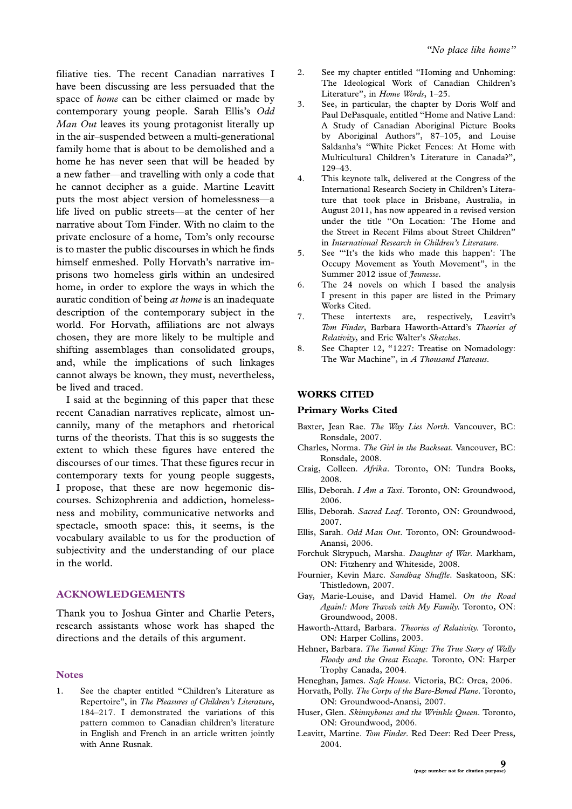filiative ties. The recent Canadian narratives I have been discussing are less persuaded that the space of home can be either claimed or made by contemporary young people. Sarah Ellis's Odd Man Out leaves its young protagonist literally up in the air-suspended between a multi-generational family home that is about to be demolished and a home he has never seen that will be headed by a new father—and travelling with only a code that he cannot decipher as a guide. Martine Leavitt puts the most abject version of homelessness-a life lived on public streets—at the center of her narrative about Tom Finder. With no claim to the private enclosure of a home, Tom's only recourse is to master the public discourses in which he finds himself enmeshed. Polly Horvath's narrative imprisons two homeless girls within an undesired home, in order to explore the ways in which the auratic condition of being at home is an inadequate description of the contemporary subject in the world. For Horvath, affiliations are not always chosen, they are more likely to be multiple and shifting assemblages than consolidated groups, and, while the implications of such linkages cannot always be known, they must, nevertheless, be lived and traced.

I said at the beginning of this paper that these recent Canadian narratives replicate, almost uncannily, many of the metaphors and rhetorical turns of the theorists. That this is so suggests the extent to which these figures have entered the discourses of our times. That these figures recur in contemporary texts for young people suggests, I propose, that these are now hegemonic discourses. Schizophrenia and addiction, homelessness and mobility, communicative networks and spectacle, smooth space: this, it seems, is the vocabulary available to us for the production of subjectivity and the understanding of our place in the world.

### ACKNOWLEDGEMENTS

Thank you to Joshua Ginter and Charlie Peters, research assistants whose work has shaped the directions and the details of this argument.

#### **Notes**

1. See the chapter entitled ''Children's Literature as Repertoire'', in The Pleasures of Children's Literature, 184-217. I demonstrated the variations of this pattern common to Canadian children's literature in English and French in an article written jointly with Anne Rusnak.

- 2. See my chapter entitled ''Homing and Unhoming: The Ideological Work of Canadian Children's Literature", in Home Words, 1-25.
- 3. See, in particular, the chapter by Doris Wolf and Paul DePasquale, entitled ''Home and Native Land: A Study of Canadian Aboriginal Picture Books by Aboriginal Authors'', 87-105, and Louise Saldanha's ''White Picket Fences: At Home with Multicultural Children's Literature in Canada?'', 129-43.
- 4. This keynote talk, delivered at the Congress of the International Research Society in Children's Literature that took place in Brisbane, Australia, in August 2011, has now appeared in a revised version under the title ''On Location: The Home and the Street in Recent Films about Street Children'' in International Research in Children's Literature.
- 5. See '''It's the kids who made this happen': The Occupy Movement as Youth Movement'', in the Summer 2012 issue of *Jeunesse*.
- 6. The 24 novels on which I based the analysis I present in this paper are listed in the Primary Works Cited.
- 7. These intertexts are, respectively, Leavitt's Tom Finder, Barbara Haworth-Attard's Theories of Relativity, and Eric Walter's Sketches.
- 8. See Chapter 12, "1227: Treatise on Nomadology: The War Machine", in A Thousand Plateaus.

#### WORKS CITED

#### Primary Works Cited

- Baxter, Jean Rae. The Way Lies North. Vancouver, BC: Ronsdale, 2007.
- Charles, Norma. The Girl in the Backseat. Vancouver, BC: Ronsdale, 2008.
- Craig, Colleen. Afrika. Toronto, ON: Tundra Books, 2008.
- Ellis, Deborah. I Am a Taxi. Toronto, ON: Groundwood, 2006.
- Ellis, Deborah. Sacred Leaf. Toronto, ON: Groundwood, 2007.
- Ellis, Sarah. Odd Man Out. Toronto, ON: Groundwood-Anansi, 2006.
- Forchuk Skrypuch, Marsha. Daughter of War. Markham, ON: Fitzhenry and Whiteside, 2008.
- Fournier, Kevin Marc. Sandbag Shuffle. Saskatoon, SK: Thistledown, 2007.
- Gay, Marie-Louise, and David Hamel. On the Road Again!: More Travels with My Family. Toronto, ON: Groundwood, 2008.
- Haworth-Attard, Barbara. Theories of Relativity. Toronto, ON: Harper Collins, 2003.
- Hehner, Barbara. The Tunnel King: The True Story of Wally Floody and the Great Escape. Toronto, ON: Harper Trophy Canada, 2004.
- Heneghan, James. Safe House. Victoria, BC: Orca, 2006.
- Horvath, Polly. The Corps of the Bare-Boned Plane. Toronto, ON: Groundwood-Anansi, 2007.
- Huser, Glen. Skinnybones and the Wrinkle Queen. Toronto, ON: Groundwood, 2006.
- Leavitt, Martine. Tom Finder. Red Deer: Red Deer Press, 2004.